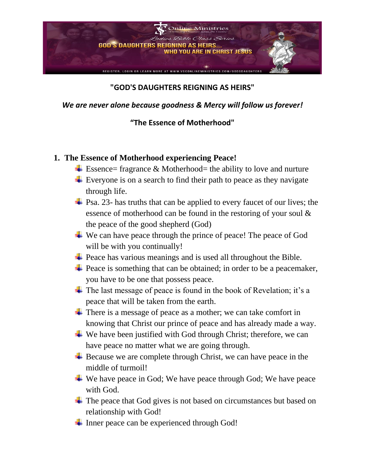

## **"GOD'S DAUGHTERS REIGNING AS HEIRS"**

*We are never alone because goodness & Mercy will follow us forever!*

## **"The Essence of Motherhood"**

## **1. The Essence of Motherhood experiencing Peace!**

- $\pm$  Essence= fragrance & Motherhood= the ability to love and nurture
- $\overline{\phantom{a}}$  Everyone is on a search to find their path to peace as they navigate through life.
- $\pm$  Psa. 23- has truths that can be applied to every faucet of our lives; the essence of motherhood can be found in the restoring of your soul & the peace of the good shepherd (God)
- $\overline{\phantom{a}}$  We can have peace through the prince of peace! The peace of God will be with you continually!
- $\overline{\phantom{a}}$  Peace has various meanings and is used all throughout the Bible.
- $\overline{\phantom{a}}$  Peace is something that can be obtained; in order to be a peacemaker, you have to be one that possess peace.
- $\overline{\text{I}}$  The last message of peace is found in the book of Revelation; it's a peace that will be taken from the earth.
- There is a message of peace as a mother; we can take comfort in knowing that Christ our prince of peace and has already made a way.
- $\overline{\text{L}}$  We have been justified with God through Christ; therefore, we can have peace no matter what we are going through.
- $\overline{\phantom{a}}$  Because we are complete through Christ, we can have peace in the middle of turmoil!
- ↓ We have peace in God; We have peace through God; We have peace with God.
- $\overline{\phantom{a}}$  The peace that God gives is not based on circumstances but based on relationship with God!
- $\overline{\phantom{a}}$  Inner peace can be experienced through God!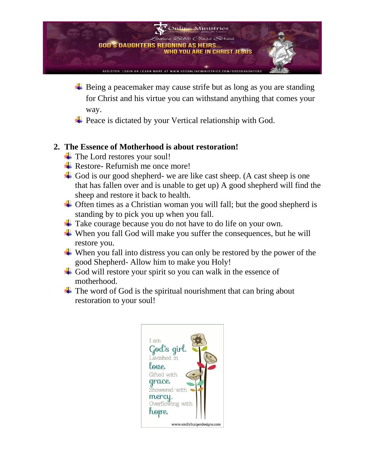

- $\overline{\phantom{a}}$  Being a peacemaker may cause strife but as long as you are standing for Christ and his virtue you can withstand anything that comes your way.
- **→** Peace is dictated by your Vertical relationship with God.

## **2. The Essence of Motherhood is about restoration!**

- $\leftarrow$  The Lord restores your soul!
- $\overline{\phantom{a}}$  Restore- Refurnish me once more!
- God is our good shepherd- we are like cast sheep. (A cast sheep is one that has fallen over and is unable to get up) A good shepherd will find the sheep and restore it back to health.
- $\overline{\phantom{a}}$  Often times as a Christian woman you will fall; but the good shepherd is standing by to pick you up when you fall.
- $\overline{\phantom{a}}$  Take courage because you do not have to do life on your own.
- $\overline{\phantom{a}}$  When you fall God will make you suffer the consequences, but he will restore you.
- $\ddot{\bullet}$  When you fall into distress you can only be restored by the power of the good Shepherd- Allow him to make you Holy!
- God will restore your spirit so you can walk in the essence of motherhood.
- $\pm$  The word of God is the spiritual nourishment that can bring about restoration to your soul!